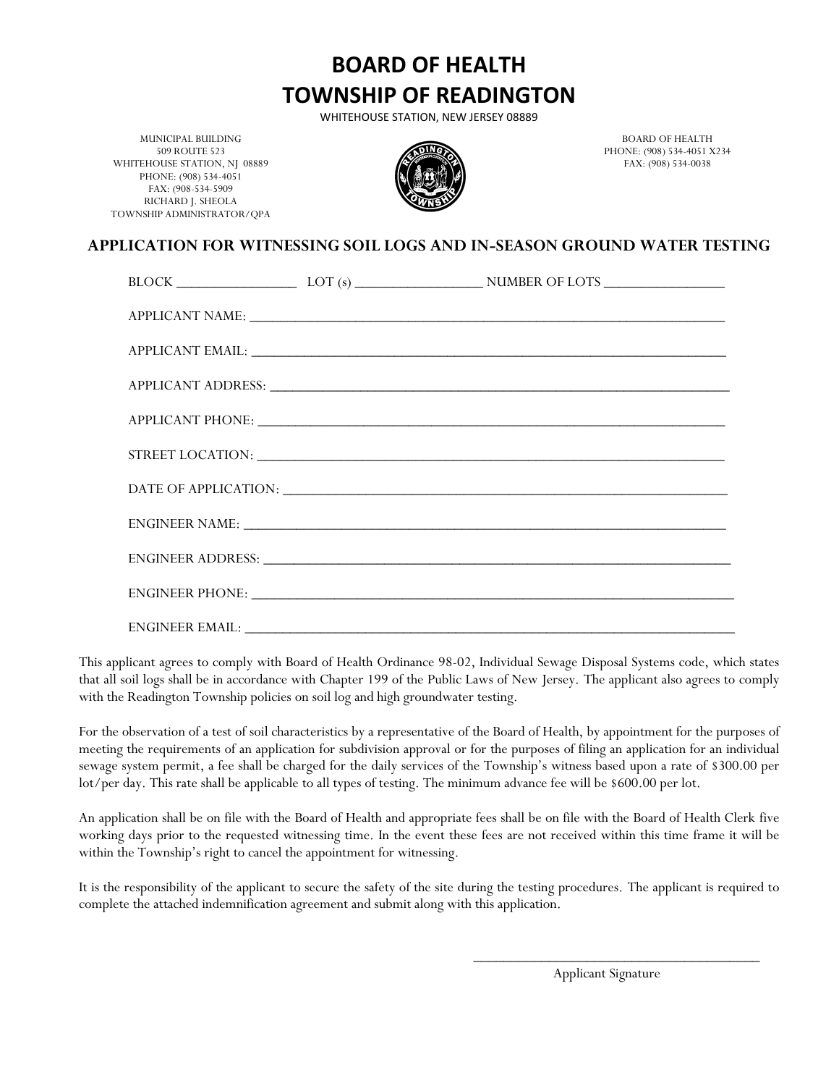**BOARD OF HEALTH TOWNSHIP OF READINGTON**

WHITEHOUSE STATION, NEW JERSEY 08889

MUNICIPAL BUILDING 509 ROUTE 523 WHITEHOUSE STATION, NJ 08889 PHONE: (908) 534-4051 FAX: (908-534-5909 RICHARD J. SHEOLA TOWNSHIP ADMINISTRATOR/QPA



BOARD OF HEALTH PHONE: (908) 534-4051 X234 FAX: (908) 534-0038

## **APPLICATION FOR WITNESSING SOIL LOGS AND IN-SEASON GROUND WATER TESTING**

|  | APPLICANT EMAIL: University of the Community of the Community of the Community of the Community of the Community of the Community of the Community of the Community of the Community of the Community of the Community of the |
|--|-------------------------------------------------------------------------------------------------------------------------------------------------------------------------------------------------------------------------------|
|  |                                                                                                                                                                                                                               |
|  |                                                                                                                                                                                                                               |
|  |                                                                                                                                                                                                                               |
|  |                                                                                                                                                                                                                               |
|  |                                                                                                                                                                                                                               |
|  |                                                                                                                                                                                                                               |
|  |                                                                                                                                                                                                                               |
|  |                                                                                                                                                                                                                               |

This applicant agrees to comply with Board of Health Ordinance 98-02, Individual Sewage Disposal Systems code, which states that all soil logs shall be in accordance with Chapter 199 of the Public Laws of New Jersey. The applicant also agrees to comply with the Readington Township policies on soil log and high groundwater testing.

For the observation of a test of soil characteristics by a representative of the Board of Health, by appointment for the purposes of meeting the requirements of an application for subdivision approval or for the purposes of filing an application for an individual sewage system permit, a fee shall be charged for the daily services of the Township's witness based upon a rate of \$300.00 per lot/per day. This rate shall be applicable to all types of testing. The minimum advance fee will be \$600.00 per lot.

An application shall be on file with the Board of Health and appropriate fees shall be on file with the Board of Health Clerk five working days prior to the requested witnessing time. In the event these fees are not received within this time frame it will be within the Township's right to cancel the appointment for witnessing.

It is the responsibility of the applicant to secure the safety of the site during the testing procedures. The applicant is required to complete the attached indemnification agreement and submit along with this application.

> \_\_\_\_\_\_\_\_\_\_\_\_\_\_\_\_\_\_\_\_\_\_\_\_\_\_\_\_\_\_\_\_\_\_\_\_\_\_ Applicant Signature